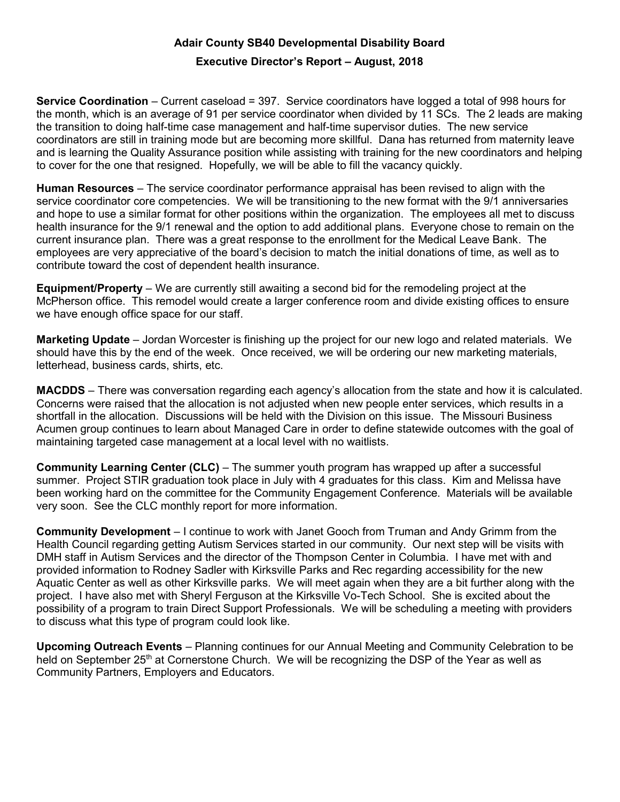## Adair County SB40 Developmental Disability Board

## Executive Director's Report – August, 2018

Service Coordination – Current caseload = 397. Service coordinators have logged a total of 998 hours for the month, which is an average of 91 per service coordinator when divided by 11 SCs. The 2 leads are making the transition to doing half-time case management and half-time supervisor duties. The new service coordinators are still in training mode but are becoming more skillful. Dana has returned from maternity leave and is learning the Quality Assurance position while assisting with training for the new coordinators and helping to cover for the one that resigned. Hopefully, we will be able to fill the vacancy quickly.

Human Resources – The service coordinator performance appraisal has been revised to align with the service coordinator core competencies. We will be transitioning to the new format with the 9/1 anniversaries and hope to use a similar format for other positions within the organization. The employees all met to discuss health insurance for the 9/1 renewal and the option to add additional plans. Everyone chose to remain on the current insurance plan. There was a great response to the enrollment for the Medical Leave Bank. The employees are very appreciative of the board's decision to match the initial donations of time, as well as to contribute toward the cost of dependent health insurance.

Equipment/Property – We are currently still awaiting a second bid for the remodeling project at the McPherson office. This remodel would create a larger conference room and divide existing offices to ensure we have enough office space for our staff.

Marketing Update – Jordan Worcester is finishing up the project for our new logo and related materials. We should have this by the end of the week. Once received, we will be ordering our new marketing materials, letterhead, business cards, shirts, etc.

MACDDS – There was conversation regarding each agency's allocation from the state and how it is calculated. Concerns were raised that the allocation is not adjusted when new people enter services, which results in a shortfall in the allocation. Discussions will be held with the Division on this issue. The Missouri Business Acumen group continues to learn about Managed Care in order to define statewide outcomes with the goal of maintaining targeted case management at a local level with no waitlists.

Community Learning Center (CLC) – The summer youth program has wrapped up after a successful summer. Project STIR graduation took place in July with 4 graduates for this class. Kim and Melissa have been working hard on the committee for the Community Engagement Conference. Materials will be available very soon. See the CLC monthly report for more information.

Community Development – I continue to work with Janet Gooch from Truman and Andy Grimm from the Health Council regarding getting Autism Services started in our community. Our next step will be visits with DMH staff in Autism Services and the director of the Thompson Center in Columbia. I have met with and provided information to Rodney Sadler with Kirksville Parks and Rec regarding accessibility for the new Aquatic Center as well as other Kirksville parks. We will meet again when they are a bit further along with the project. I have also met with Sheryl Ferguson at the Kirksville Vo-Tech School. She is excited about the possibility of a program to train Direct Support Professionals. We will be scheduling a meeting with providers to discuss what this type of program could look like.

Upcoming Outreach Events – Planning continues for our Annual Meeting and Community Celebration to be held on September 25<sup>th</sup> at Cornerstone Church. We will be recognizing the DSP of the Year as well as Community Partners, Employers and Educators.